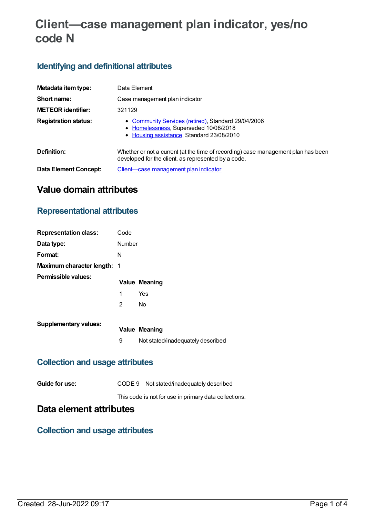# **Client—case management plan indicator, yes/no code N**

# **Identifying and definitional attributes**

| Metadata item type:         | Data Element                                                                                                                              |
|-----------------------------|-------------------------------------------------------------------------------------------------------------------------------------------|
| Short name:                 | Case management plan indicator                                                                                                            |
| <b>METEOR identifier:</b>   | 321129                                                                                                                                    |
| <b>Registration status:</b> | • Community Services (retired), Standard 29/04/2006<br>• Homelessness, Superseded 10/08/2018<br>• Housing assistance, Standard 23/08/2010 |
| Definition:                 | Whether or not a current (at the time of recording) case management plan has been<br>developed for the client, as represented by a code.  |
| Data Element Concept:       | Client—case management plan indicator                                                                                                     |

# **Value domain attributes**

#### **Representational attributes**

| <b>Representation class:</b>       | Code   |                                   |
|------------------------------------|--------|-----------------------------------|
| Data type:                         | Number |                                   |
| Format:                            | N      |                                   |
| <b>Maximum character length: 1</b> |        |                                   |
| Permissible values:                |        | <b>Value Meaning</b>              |
|                                    | 1      | Yes                               |
|                                    | 2      | No                                |
| <b>Supplementary values:</b>       |        |                                   |
|                                    |        | <b>Value Meaning</b>              |
|                                    | 9      | Not stated/inadequately described |

### **Collection and usage attributes**

| Guide for use: | CODE 9 Not stated/inadequately described |
|----------------|------------------------------------------|
|----------------|------------------------------------------|

This code is not for use in primary data collections.

# **Data element attributes**

#### **Collection and usage attributes**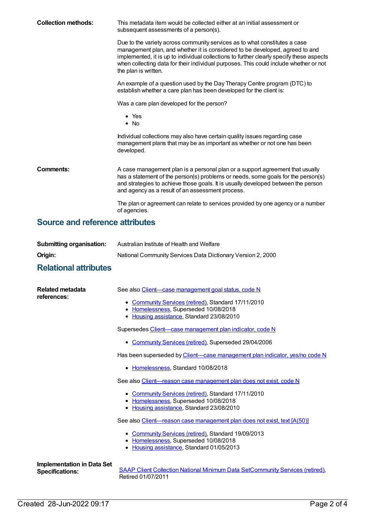| <b>Collection methods:</b> | This metadata item would be collected either at an initial assessment or<br>subsequent assessments of a person(s).                                                                                                                                                                                                                                                      |  |  |
|----------------------------|-------------------------------------------------------------------------------------------------------------------------------------------------------------------------------------------------------------------------------------------------------------------------------------------------------------------------------------------------------------------------|--|--|
|                            | Due to the variety across community services as to what constitutes a case<br>management plan, and whether it is considered to be developed, agreed to and<br>implemented, it is up to individual collections to further clearly specify these aspects<br>when collecting data for their individual purposes. This could include whether or not<br>the plan is written. |  |  |
|                            | An example of a question used by the Day Therapy Centre program (DTC) to<br>establish whether a care plan has been developed for the client is:                                                                                                                                                                                                                         |  |  |
|                            | Was a care plan developed for the person?                                                                                                                                                                                                                                                                                                                               |  |  |
|                            | $\bullet$ Yes<br>$\bullet$ No                                                                                                                                                                                                                                                                                                                                           |  |  |
|                            | Individual collections may also have certain quality issues regarding case<br>management plans that may be as important as whether or not one has been<br>developed.                                                                                                                                                                                                    |  |  |
| Comments:                  | A case management plan is a personal plan or a support agreement that usually<br>has a statement of the person(s) problems or needs, some goals for the person(s)<br>and strategies to achieve those goals. It is usually developed between the person<br>and agency as a result of an assessment process.                                                              |  |  |
|                            | The plan or agreement can relate to services provided by one agency or a number<br>of agencies.                                                                                                                                                                                                                                                                         |  |  |
|                            |                                                                                                                                                                                                                                                                                                                                                                         |  |  |

#### **Source and reference attributes**

| <b>Submitting organisation:</b> | Australian Institute of Health and Welfare                  |
|---------------------------------|-------------------------------------------------------------|
| Origin:                         | National Community Services Data Dictionary Version 2, 2000 |

# **Relational attributes**

| Related metadata<br>references:                             | See also Client-case management goal status, code N                                                                                       |
|-------------------------------------------------------------|-------------------------------------------------------------------------------------------------------------------------------------------|
|                                                             | • Community Services (retired), Standard 17/11/2010<br>• Homelessness, Superseded 10/08/2018<br>• Housing assistance, Standard 23/08/2010 |
|                                                             | Supersedes Client-case management plan indicator, code N                                                                                  |
|                                                             | • Community Services (retired), Superseded 29/04/2006                                                                                     |
|                                                             | Has been superseded by Client—case management plan indicator, yes/no code N                                                               |
|                                                             | • Homelessness, Standard 10/08/2018                                                                                                       |
|                                                             | See also Client-reason case management plan does not exist, code N                                                                        |
|                                                             | • Community Services (retired), Standard 17/11/2010<br>• Homelessness, Superseded 10/08/2018<br>• Housing assistance, Standard 23/08/2010 |
|                                                             | See also Client-reason case management plan does not exist, text [A(50)]                                                                  |
|                                                             | • Community Services (retired), Standard 19/09/2013<br>• Homelessness, Superseded 10/08/2018<br>• Housing assistance, Standard 01/05/2013 |
| <b>Implementation in Data Set</b><br><b>Specifications:</b> | <b>SAAP Client Collection National Minimum Data SetCommunity Services (retired),</b><br>Retired 01/07/2011                                |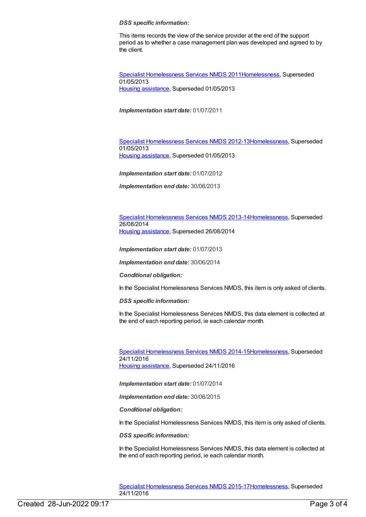#### *DSS specific information:*

This items records the view of the service provider at the end of the support period as to whether a case management plan was developed and agreed to by the client.

Specialist [Homelessness](https://meteor.aihw.gov.au/content/398238) Services NMDS 201[1Homelessness](https://meteor.aihw.gov.au/RegistrationAuthority/14), Superseded 01/05/2013 Housing [assistance](https://meteor.aihw.gov.au/RegistrationAuthority/11), Superseded 01/05/2013

*Implementation start date:* 01/07/2011

Specialist [Homelessness](https://meteor.aihw.gov.au/content/508954) Services NMDS 2012-1[3Homelessness](https://meteor.aihw.gov.au/RegistrationAuthority/14), Superseded 01/05/2013 Housing [assistance](https://meteor.aihw.gov.au/RegistrationAuthority/11), Superseded 01/05/2013

*Implementation start date:* 01/07/2012

*Implementation end date:* 30/06/2013

Specialist [Homelessness](https://meteor.aihw.gov.au/content/505626) Services NMDS 2013-1[4Homelessness](https://meteor.aihw.gov.au/RegistrationAuthority/14), Superseded 26/08/2014 Housing [assistance](https://meteor.aihw.gov.au/RegistrationAuthority/11), Superseded 26/08/2014

*Implementation start date:* 01/07/2013

*Implementation end date:* 30/06/2014

*Conditional obligation:*

In the Specialist Homelessness Services NMDS, this item is only asked of clients.

*DSS specific information:*

In the Specialist Homelessness Services NMDS, this data element is collected at the end of each reporting period, ie each calendar month.

Specialist [Homelessness](https://meteor.aihw.gov.au/content/581255) Services NMDS 2014-1[5Homelessness](https://meteor.aihw.gov.au/RegistrationAuthority/14), Superseded 24/11/2016 Housing [assistance](https://meteor.aihw.gov.au/RegistrationAuthority/11), Superseded 24/11/2016

*Implementation start date:* 01/07/2014

*Implementation end date:* 30/06/2015

*Conditional obligation:*

In the Specialist Homelessness Services NMDS, this item is only asked of clients.

*DSS specific information:*

In the Specialist Homelessness Services NMDS, this data element is collected at the end of each reporting period, ie each calendar month.

Specialist [Homelessness](https://meteor.aihw.gov.au/content/658005) Services NMDS 2015-1[7Homelessness](https://meteor.aihw.gov.au/RegistrationAuthority/14), Superseded 24/11/2016